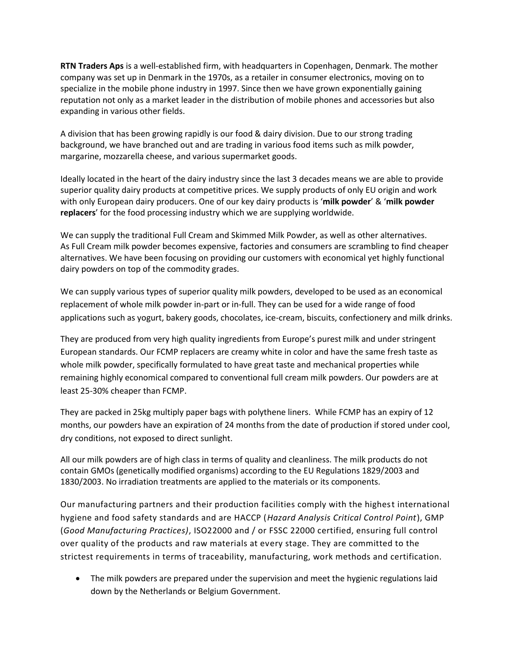**RTN Traders Aps** is a well-established firm, with headquarters in Copenhagen, Denmark. The mother company was set up in Denmark in the 1970s, as a retailer in consumer electronics, moving on to specialize in the mobile phone industry in 1997. Since then we have grown exponentially gaining reputation not only as a market leader in the distribution of mobile phones and accessories but also expanding in various other fields.

A division that has been growing rapidly is our food & dairy division. Due to our strong trading background, we have branched out and are trading in various food items such as milk powder, margarine, mozzarella cheese, and various supermarket goods.

Ideally located in the heart of the dairy industry since the last 3 decades means we are able to provide superior quality dairy products at competitive prices. We supply products of only EU origin and work with only European dairy producers. One of our key dairy products is '**milk powder**' & '**milk powder replacers**' for the food processing industry which we are supplying worldwide.

We can supply the traditional Full Cream and Skimmed Milk Powder, as well as other alternatives. As Full Cream milk powder becomes expensive, factories and consumers are scrambling to find cheaper alternatives. We have been focusing on providing our customers with economical yet highly functional dairy powders on top of the commodity grades.

We can supply various types of superior quality milk powders, developed to be used as an economical replacement of whole milk powder in-part or in-full. They can be used for a wide range of food applications such as yogurt, bakery goods, chocolates, ice-cream, biscuits, confectionery and milk drinks.

They are produced from very high quality ingredients from Europe's purest milk and under stringent European standards. Our FCMP replacers are creamy white in color and have the same fresh taste as whole milk powder, specifically formulated to have great taste and mechanical properties while remaining highly economical compared to conventional full cream milk powders. Our powders are at least 25-30% cheaper than FCMP.

They are packed in 25kg multiply paper bags with polythene liners. While FCMP has an expiry of 12 months, our powders have an expiration of 24 months from the date of production if stored under cool, dry conditions, not exposed to direct sunlight.

All our milk powders are of high class in terms of quality and cleanliness. The milk products do not contain GMOs (genetically modified organisms) according to the EU Regulations 1829/2003 and 1830/2003. No irradiation treatments are applied to the materials or its components.

Our manufacturing partners and their production facilities comply with the highest international hygiene and food safety standards and are HACCP (*Hazard Analysis Critical Control Point*), GMP (*Good Manufacturing Practices)*, ISO22000 and / or FSSC 22000 certified, ensuring full control over quality of the products and raw materials at every stage. They are committed to the strictest requirements in terms of traceability, manufacturing, work methods and certification.

 The milk powders are prepared under the supervision and meet the hygienic regulations laid down by the Netherlands or Belgium Government.